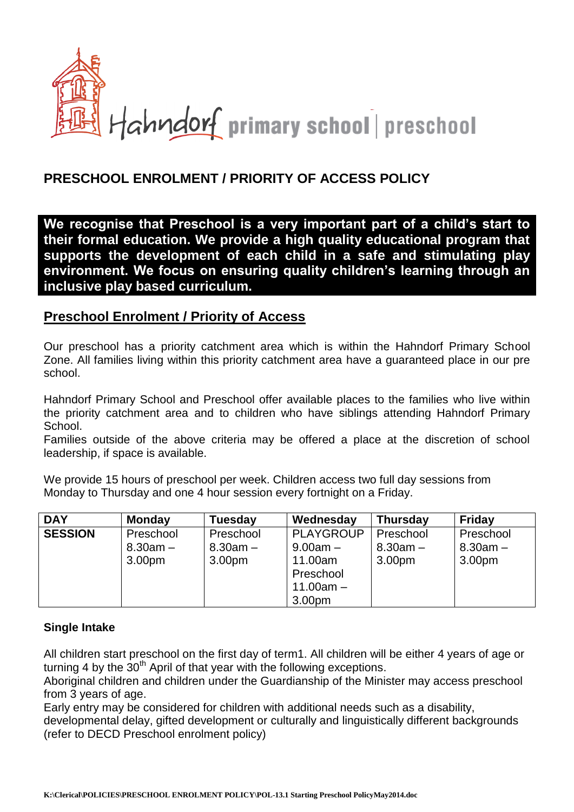

## **PRESCHOOL ENROLMENT / PRIORITY OF ACCESS POLICY**

**We recognise that Preschool is a very important part of a child's start to their formal education. We provide a high quality educational program that supports the development of each child in a safe and stimulating play environment. We focus on ensuring quality children's learning through an inclusive play based curriculum.**

## **Preschool Enrolment / Priority of Access**

Our preschool has a priority catchment area which is within the Hahndorf Primary School Zone. All families living within this priority catchment area have a guaranteed place in our pre school.

Hahndorf Primary School and Preschool offer available places to the families who live within the priority catchment area and to children who have siblings attending Hahndorf Primary School.

Families outside of the above criteria may be offered a place at the discretion of school leadership, if space is available.

We provide 15 hours of preschool per week. Children access two full day sessions from Monday to Thursday and one 4 hour session every fortnight on a Friday.

| <b>DAY</b>     | <b>Monday</b>      | Tuesday            | Wednesday        | <b>Thursday</b>    | <b>Friday</b>      |
|----------------|--------------------|--------------------|------------------|--------------------|--------------------|
| <b>SESSION</b> | Preschool          | Preschool          | <b>PLAYGROUP</b> | Preschool          | Preschool          |
|                | $8.30am -$         | $8.30$ am $-$      | $9.00$ am $-$    | $8.30$ am $-$      | $8.30am -$         |
|                | 3.00 <sub>pm</sub> | 3.00 <sub>pm</sub> | 11.00am          | 3.00 <sub>pm</sub> | 3.00 <sub>pm</sub> |
|                |                    |                    | Preschool        |                    |                    |
|                |                    |                    | $11.00am -$      |                    |                    |
|                |                    |                    | 3.00pm           |                    |                    |

## **Single Intake**

All children start preschool on the first day of term1. All children will be either 4 years of age or turning 4 by the  $30<sup>th</sup>$  April of that year with the following exceptions.

Aboriginal children and children under the Guardianship of the Minister may access preschool from 3 years of age.

Early entry may be considered for children with additional needs such as a disability,

developmental delay, gifted development or culturally and linguistically different backgrounds (refer to DECD Preschool enrolment policy)